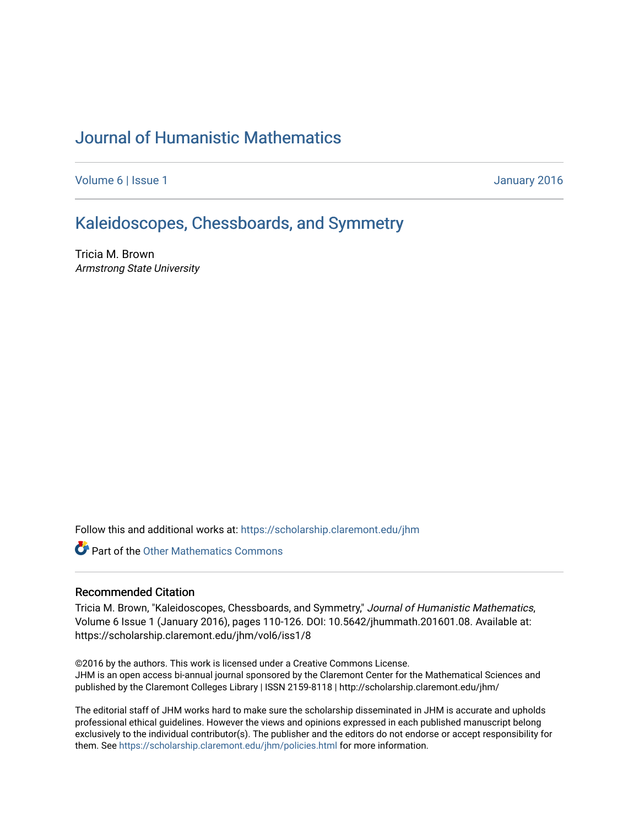# [Journal of Humanistic Mathematics](https://scholarship.claremont.edu/jhm)

[Volume 6](https://scholarship.claremont.edu/jhm/vol6) | [Issue 1](https://scholarship.claremont.edu/jhm/vol6/iss1) January 2016

### [Kaleidoscopes, Chessboards, and Symmetry](https://scholarship.claremont.edu/jhm/vol6/iss1/8)

Tricia M. Brown Armstrong State University

Follow this and additional works at: [https://scholarship.claremont.edu/jhm](https://scholarship.claremont.edu/jhm?utm_source=scholarship.claremont.edu%2Fjhm%2Fvol6%2Fiss1%2F8&utm_medium=PDF&utm_campaign=PDFCoverPages)

**Part of the [Other Mathematics Commons](http://network.bepress.com/hgg/discipline/185?utm_source=scholarship.claremont.edu%2Fjhm%2Fvol6%2Fiss1%2F8&utm_medium=PDF&utm_campaign=PDFCoverPages)** 

#### Recommended Citation

Tricia M. Brown, "Kaleidoscopes, Chessboards, and Symmetry," Journal of Humanistic Mathematics, Volume 6 Issue 1 (January 2016), pages 110-126. DOI: 10.5642/jhummath.201601.08. Available at: https://scholarship.claremont.edu/jhm/vol6/iss1/8

©2016 by the authors. This work is licensed under a Creative Commons License. JHM is an open access bi-annual journal sponsored by the Claremont Center for the Mathematical Sciences and published by the Claremont Colleges Library | ISSN 2159-8118 | http://scholarship.claremont.edu/jhm/

The editorial staff of JHM works hard to make sure the scholarship disseminated in JHM is accurate and upholds professional ethical guidelines. However the views and opinions expressed in each published manuscript belong exclusively to the individual contributor(s). The publisher and the editors do not endorse or accept responsibility for them. See<https://scholarship.claremont.edu/jhm/policies.html> for more information.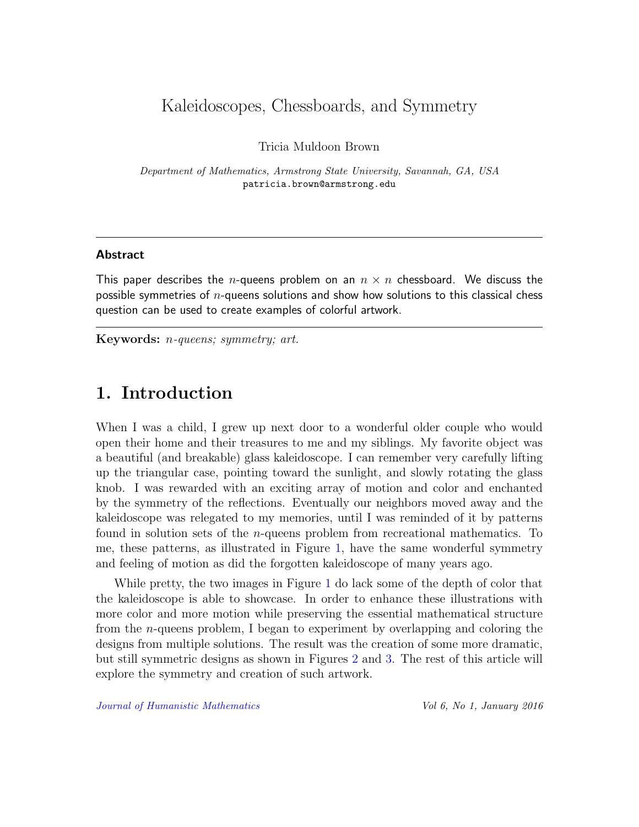## Kaleidoscopes, Chessboards, and Symmetry

Tricia Muldoon Brown

Department of Mathematics, Armstrong State University, Savannah, GA, USA patricia.brown@armstrong.edu

#### Abstract

This paper describes the n-queens problem on an  $n \times n$  chessboard. We discuss the possible symmetries of  $n$ -queens solutions and show how solutions to this classical chess question can be used to create examples of colorful artwork.

Keywords: n-queens; symmetry; art.

### 1. Introduction

When I was a child, I grew up next door to a wonderful older couple who would open their home and their treasures to me and my siblings. My favorite object was a beautiful (and breakable) glass kaleidoscope. I can remember very carefully lifting up the triangular case, pointing toward the sunlight, and slowly rotating the glass knob. I was rewarded with an exciting array of motion and color and enchanted by the symmetry of the reflections. Eventually our neighbors moved away and the kaleidoscope was relegated to my memories, until I was reminded of it by patterns found in solution sets of the n-queens problem from recreational mathematics. To me, these patterns, as illustrated in Figure [1,](#page-2-0) have the same wonderful symmetry and feeling of motion as did the forgotten kaleidoscope of many years ago.

While pretty, the two images in Figure [1](#page-2-0) do lack some of the depth of color that the kaleidoscope is able to showcase. In order to enhance these illustrations with more color and more motion while preserving the essential mathematical structure from the n-queens problem, I began to experiment by overlapping and coloring the designs from multiple solutions. The result was the creation of some more dramatic, but still symmetric designs as shown in Figures [2](#page-2-1) and [3.](#page-3-0) The rest of this article will explore the symmetry and creation of such artwork.

[Journal of Humanistic Mathematics](http://scholarship.claremont.edu/jhm/) Vol 6, No 1, January 2016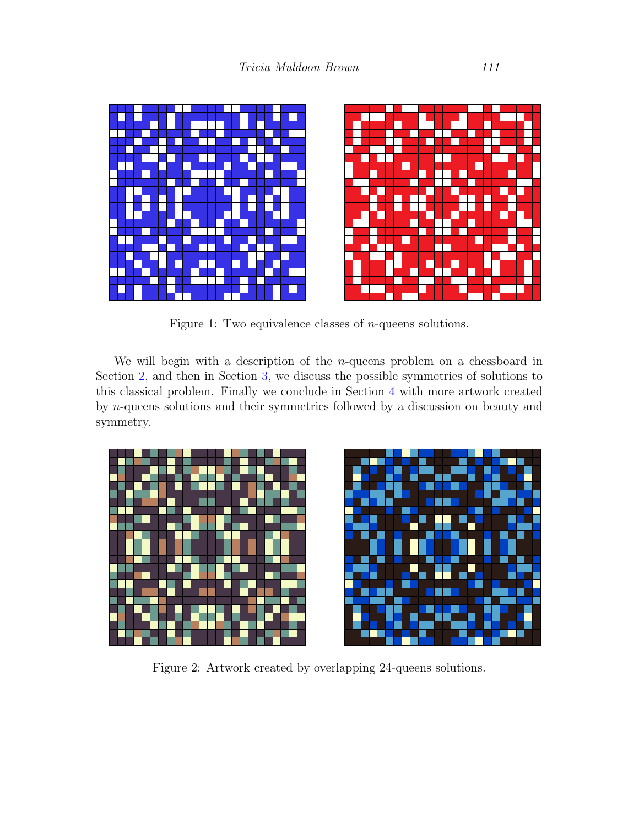<span id="page-2-0"></span>

Figure 1: Two equivalence classes of *n*-queens solutions.

We will begin with a description of the  $n$ -queens problem on a chessboard in Section [2,](#page-3-1) and then in Section [3,](#page-5-0) we discuss the possible symmetries of solutions to this classical problem. Finally we conclude in Section [4](#page-10-0) with more artwork created by n-queens solutions and their symmetries followed by a discussion on beauty and symmetry.

<span id="page-2-1"></span>

Figure 2: Artwork created by overlapping 24-queens solutions.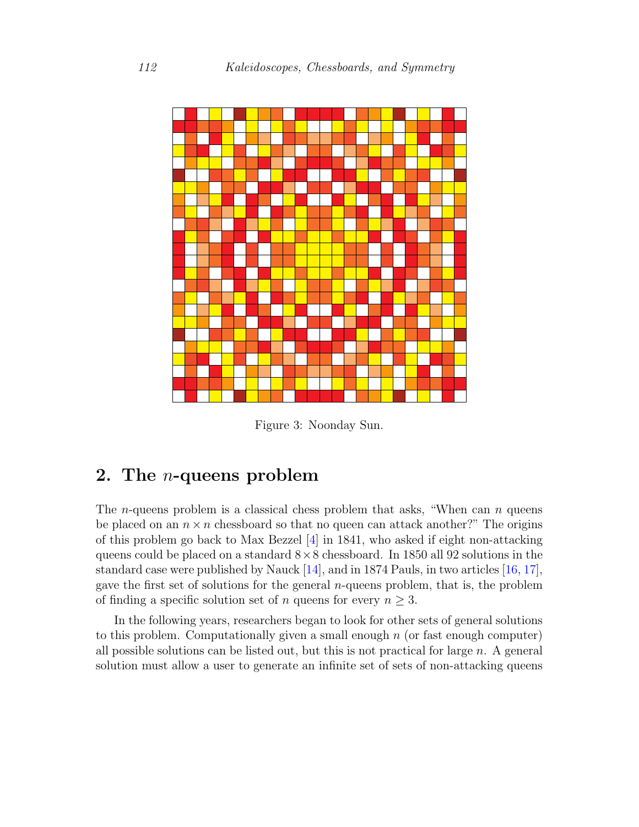<span id="page-3-0"></span>

Figure 3: Noonday Sun.

# <span id="page-3-1"></span>2. The n-queens problem

The *n*-queens problem is a classical chess problem that asks, "When can *n* queens be placed on an  $n \times n$  chessboard so that no queen can attack another?" The origins of this problem go back to Max Bezzel [\[4\]](#page-16-0) in 1841, who asked if eight non-attacking queens could be placed on a standard  $8\times 8$  chessboard. In 1850 all 92 solutions in the standard case were published by Nauck [\[14\]](#page-17-0), and in 1874 Pauls, in two articles [\[16,](#page-17-1) [17\]](#page-17-2), gave the first set of solutions for the general  $n$ -queens problem, that is, the problem of finding a specific solution set of *n* queens for every  $n \geq 3$ .

In the following years, researchers began to look for other sets of general solutions to this problem. Computationally given a small enough  $n$  (or fast enough computer) all possible solutions can be listed out, but this is not practical for large  $n$ . A general solution must allow a user to generate an infinite set of sets of non-attacking queens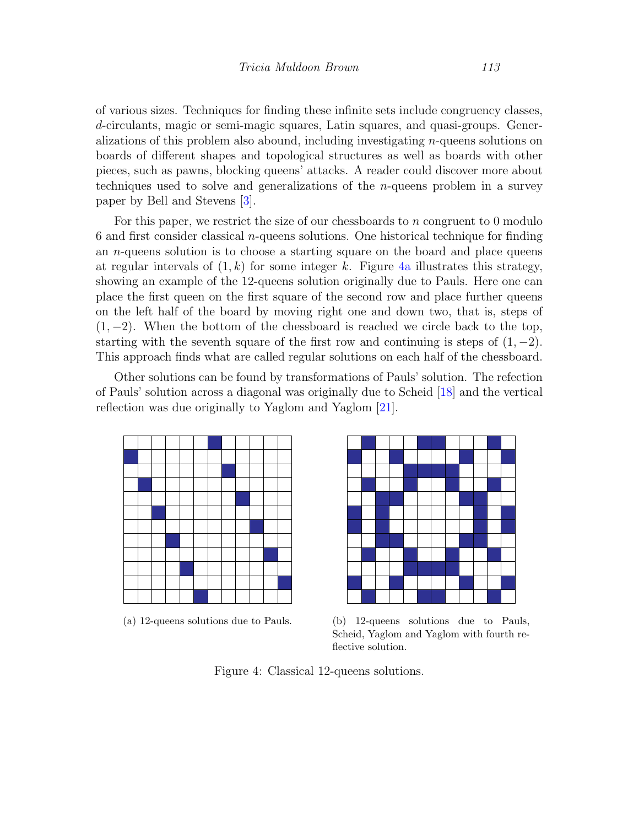of various sizes. Techniques for finding these infinite sets include congruency classes, d-circulants, magic or semi-magic squares, Latin squares, and quasi-groups. Generalizations of this problem also abound, including investigating n-queens solutions on boards of different shapes and topological structures as well as boards with other pieces, such as pawns, blocking queens' attacks. A reader could discover more about techniques used to solve and generalizations of the  $n$ -queens problem in a survey paper by Bell and Stevens [\[3\]](#page-16-1).

For this paper, we restrict the size of our chessboards to n congruent to  $0$  modulo 6 and first consider classical *n*-queens solutions. One historical technique for finding an n-queens solution is to choose a starting square on the board and place queens at regular intervals of  $(1, k)$  for some integer k. Figure [4a](#page-4-0) illustrates this strategy, showing an example of the 12-queens solution originally due to Pauls. Here one can place the first queen on the first square of the second row and place further queens on the left half of the board by moving right one and down two, that is, steps of  $(1, -2)$ . When the bottom of the chessboard is reached we circle back to the top, starting with the seventh square of the first row and continuing is steps of  $(1, -2)$ . This approach finds what are called regular solutions on each half of the chessboard.

Other solutions can be found by transformations of Pauls' solution. The refection of Pauls' solution across a diagonal was originally due to Scheid [\[18\]](#page-17-3) and the vertical reflection was due originally to Yaglom and Yaglom [\[21\]](#page-17-4).

<span id="page-4-0"></span>



(a) 12-queens solutions due to Pauls. (b) 12-queens solutions due to Pauls, Scheid, Yaglom and Yaglom with fourth reflective solution.

Figure 4: Classical 12-queens solutions.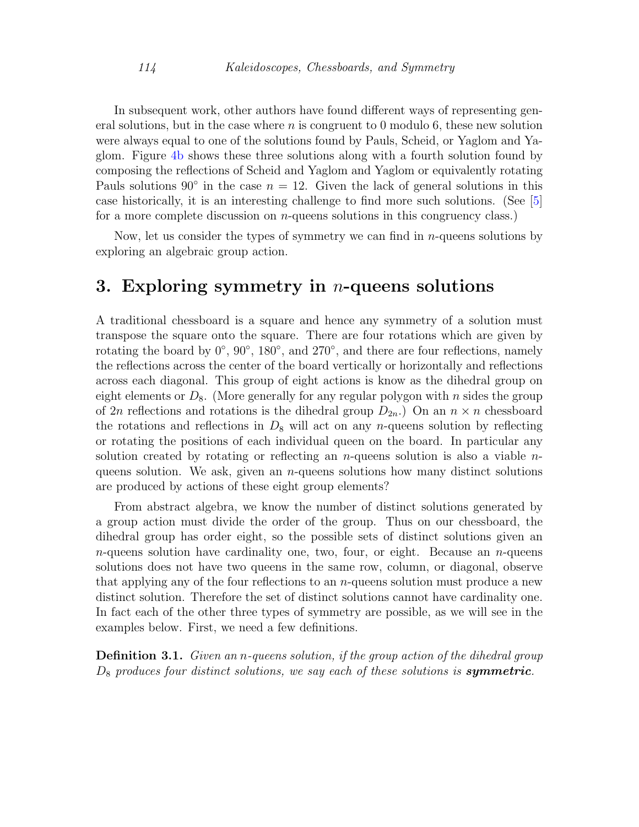In subsequent work, other authors have found different ways of representing general solutions, but in the case where  $n$  is congruent to 0 modulo 6, these new solution were always equal to one of the solutions found by Pauls, Scheid, or Yaglom and Yaglom. Figure [4b](#page-4-0) shows these three solutions along with a fourth solution found by composing the reflections of Scheid and Yaglom and Yaglom or equivalently rotating Pauls solutions 90° in the case  $n = 12$ . Given the lack of general solutions in this case historically, it is an interesting challenge to find more such solutions. (See [\[5\]](#page-16-2) for a more complete discussion on  $n$ -queens solutions in this congruency class.)

Now, let us consider the types of symmetry we can find in  $n$ -queens solutions by exploring an algebraic group action.

#### <span id="page-5-0"></span>3. Exploring symmetry in *n*-queens solutions

A traditional chessboard is a square and hence any symmetry of a solution must transpose the square onto the square. There are four rotations which are given by rotating the board by  $0^\circ$ ,  $90^\circ$ ,  $180^\circ$ , and  $270^\circ$ , and there are four reflections, namely the reflections across the center of the board vertically or horizontally and reflections across each diagonal. This group of eight actions is know as the dihedral group on eight elements or  $D_8$ . (More generally for any regular polygon with n sides the group of 2n reflections and rotations is the dihedral group  $D_{2n}$ . On an  $n \times n$  chessboard the rotations and reflections in  $D_8$  will act on any *n*-queens solution by reflecting or rotating the positions of each individual queen on the board. In particular any solution created by rotating or reflecting an *n*-queens solution is also a viable *n*queens solution. We ask, given an  $n$ -queens solutions how many distinct solutions are produced by actions of these eight group elements?

From abstract algebra, we know the number of distinct solutions generated by a group action must divide the order of the group. Thus on our chessboard, the dihedral group has order eight, so the possible sets of distinct solutions given an *n*-queens solution have cardinality one, two, four, or eight. Because an *n*-queens solutions does not have two queens in the same row, column, or diagonal, observe that applying any of the four reflections to an  $n$ -queens solution must produce a new distinct solution. Therefore the set of distinct solutions cannot have cardinality one. In fact each of the other three types of symmetry are possible, as we will see in the examples below. First, we need a few definitions.

**Definition 3.1.** Given an *n*-queens solution, if the group action of the dihedral group  $D_8$  produces four distinct solutions, we say each of these solutions is **symmetric**.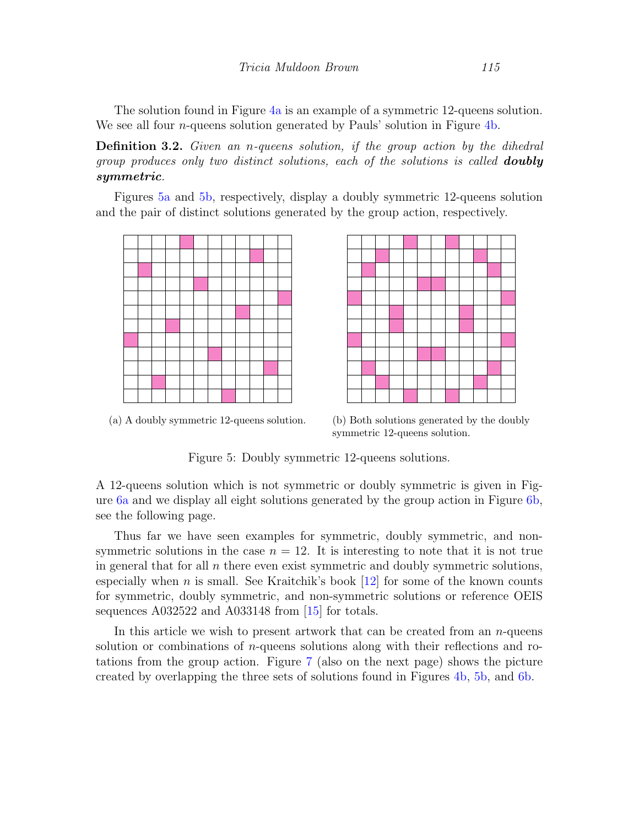The solution found in Figure [4a](#page-4-0) is an example of a symmetric 12-queens solution. We see all four  $n$ -queens solution generated by Pauls' solution in Figure [4b.](#page-4-0)

Definition 3.2. Given an n-queens solution, if the group action by the dihedral group produces only two distinct solutions, each of the solutions is called **doubly** symmetric.

Figures [5a](#page-6-0) and [5b,](#page-6-0) respectively, display a doubly symmetric 12-queens solution and the pair of distinct solutions generated by the group action, respectively.

<span id="page-6-0"></span>



(a) A doubly symmetric 12-queens solution. (b) Both solutions generated by the doubly symmetric 12-queens solution.

Figure 5: Doubly symmetric 12-queens solutions.

A 12-queens solution which is not symmetric or doubly symmetric is given in Figure [6a](#page-7-0) and we display all eight solutions generated by the group action in Figure [6b,](#page-7-0) see the following page.

Thus far we have seen examples for symmetric, doubly symmetric, and nonsymmetric solutions in the case  $n = 12$ . It is interesting to note that it is not true in general that for all  $n$  there even exist symmetric and doubly symmetric solutions, especially when n is small. See Kraitchik's book  $[12]$  for some of the known counts for symmetric, doubly symmetric, and non-symmetric solutions or reference OEIS sequences A032522 and A033148 from [\[15\]](#page-17-6) for totals.

In this article we wish to present artwork that can be created from an  $n$ -queens solution or combinations of  $n$ -queens solutions along with their reflections and rotations from the group action. Figure [7](#page-7-1) (also on the next page) shows the picture created by overlapping the three sets of solutions found in Figures [4b,](#page-4-0) [5b,](#page-6-0) and [6b.](#page-7-0)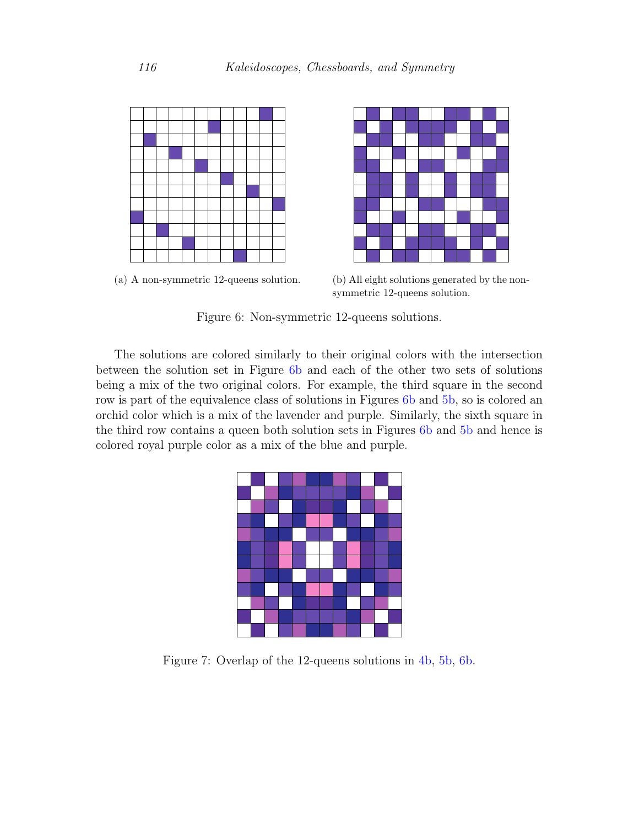<span id="page-7-0"></span>



(a) A non-symmetric 12-queens solution. (b) All eight solutions generated by the nonsymmetric 12-queens solution.

Figure 6: Non-symmetric 12-queens solutions.

The solutions are colored similarly to their original colors with the intersection between the solution set in Figure [6b](#page-7-0) and each of the other two sets of solutions being a mix of the two original colors. For example, the third square in the second row is part of the equivalence class of solutions in Figures [6b](#page-7-0) and [5b,](#page-6-0) so is colored an orchid color which is a mix of the lavender and purple. Similarly, the sixth square in the third row contains a queen both solution sets in Figures [6b](#page-7-0) and [5b](#page-6-0) and hence is colored royal purple color as a mix of the blue and purple.

<span id="page-7-1"></span>

Figure 7: Overlap of the 12-queens solutions in [4b,](#page-4-0) [5b,](#page-6-0) [6b.](#page-7-0)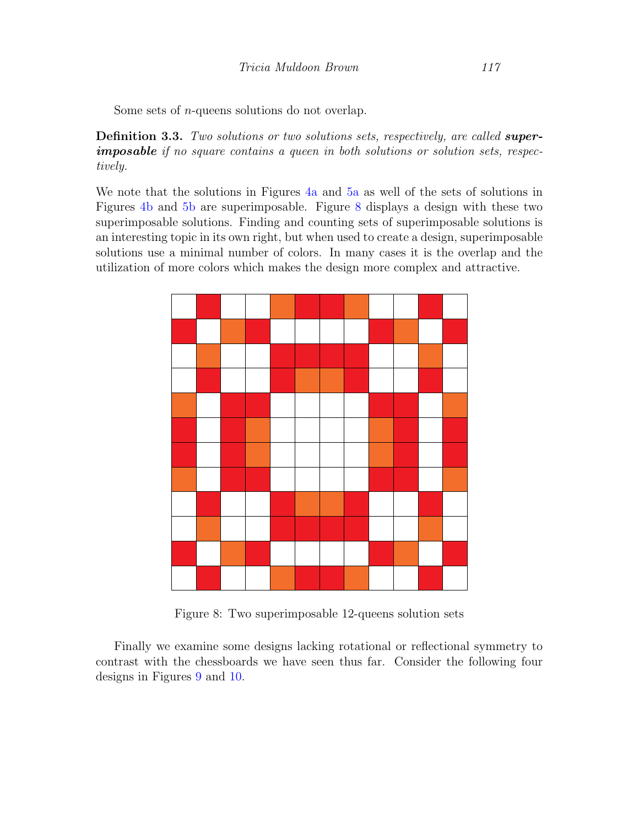Some sets of n-queens solutions do not overlap.

**Definition 3.3.** Two solutions or two solutions sets, respectively, are called **super**imposable if no square contains a queen in both solutions or solution sets, respectively.

We note that the solutions in Figures [4a](#page-4-0) and [5a](#page-6-0) as well of the sets of solutions in Figures [4b](#page-4-0) and [5b](#page-6-0) are superimposable. Figure [8](#page-8-0) displays a design with these two superimposable solutions. Finding and counting sets of superimposable solutions is an interesting topic in its own right, but when used to create a design, superimposable solutions use a minimal number of colors. In many cases it is the overlap and the utilization of more colors which makes the design more complex and attractive.

<span id="page-8-0"></span>

Figure 8: Two superimposable 12-queens solution sets

Finally we examine some designs lacking rotational or reflectional symmetry to contrast with the chessboards we have seen thus far. Consider the following four designs in Figures [9](#page-9-0) and [10.](#page-9-1)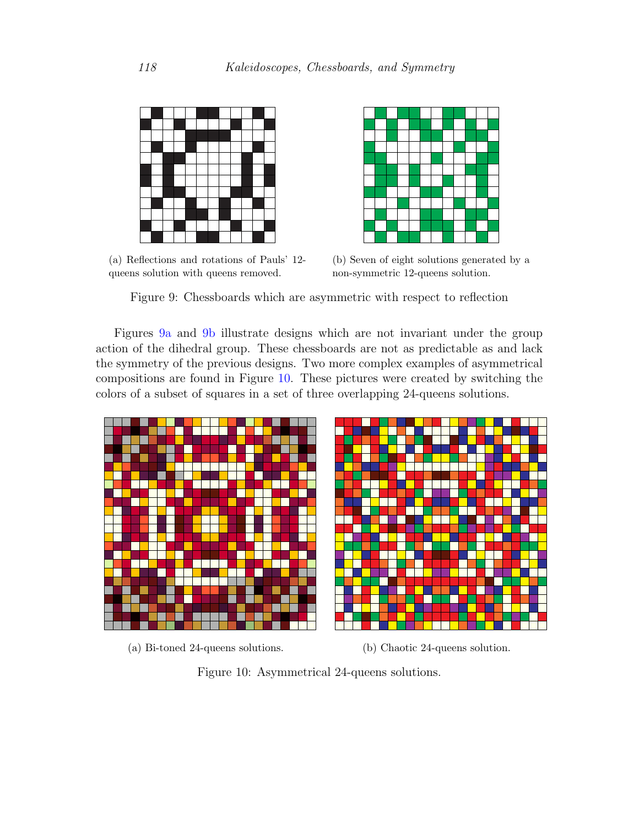<span id="page-9-0"></span>

(a) Reflections and rotations of Pauls' 12 queens solution with queens removed.



(b) Seven of eight solutions generated by a non-symmetric 12-queens solution.

Figure 9: Chessboards which are asymmetric with respect to reflection

Figures [9a](#page-9-0) and [9b](#page-9-0) illustrate designs which are not invariant under the group action of the dihedral group. These chessboards are not as predictable as and lack the symmetry of the previous designs. Two more complex examples of asymmetrical compositions are found in Figure [10.](#page-9-1) These pictures were created by switching the colors of a subset of squares in a set of three overlapping 24-queens solutions.

<span id="page-9-1"></span>



(a) Bi-toned 24-queens solutions. (b) Chaotic 24-queens solution.

Figure 10: Asymmetrical 24-queens solutions.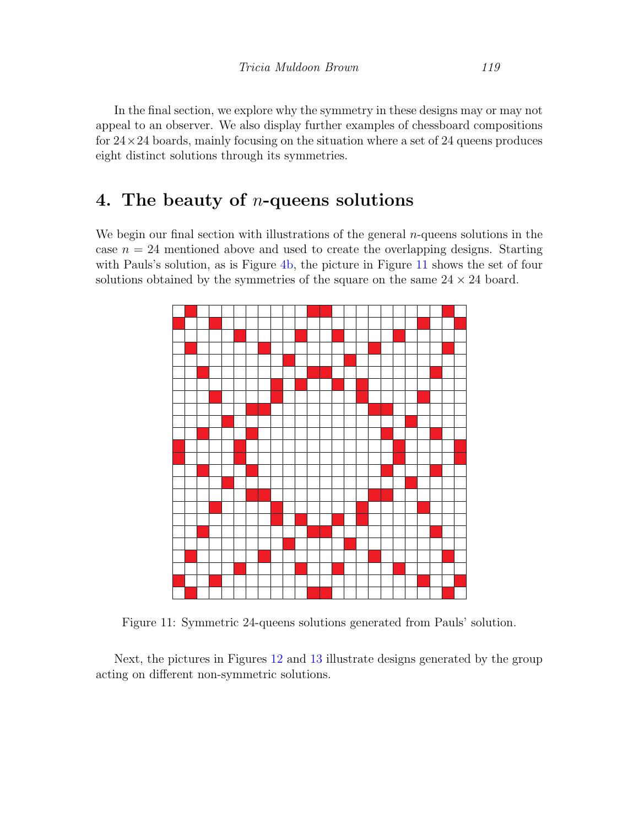In the final section, we explore why the symmetry in these designs may or may not appeal to an observer. We also display further examples of chessboard compositions for  $24 \times 24$  boards, mainly focusing on the situation where a set of 24 queens produces eight distinct solutions through its symmetries.

### <span id="page-10-0"></span>4. The beauty of n-queens solutions

We begin our final section with illustrations of the general  $n$ -queens solutions in the case  $n = 24$  mentioned above and used to create the overlapping designs. Starting with Pauls's solution, as is Figure [4b,](#page-4-0) the picture in Figure [11](#page-10-1) shows the set of four solutions obtained by the symmetries of the square on the same  $24 \times 24$  board.

<span id="page-10-1"></span>

Figure 11: Symmetric 24-queens solutions generated from Pauls' solution.

Next, the pictures in Figures [12](#page-11-0) and [13](#page-11-1) illustrate designs generated by the group acting on different non-symmetric solutions.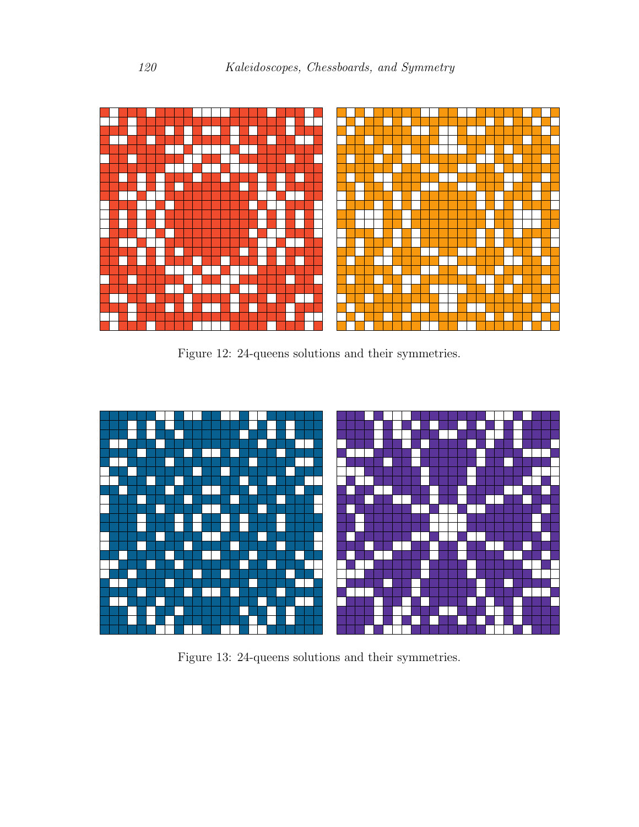<span id="page-11-0"></span>

Figure 12: 24-queens solutions and their symmetries.

<span id="page-11-1"></span>

Figure 13: 24-queens solutions and their symmetries.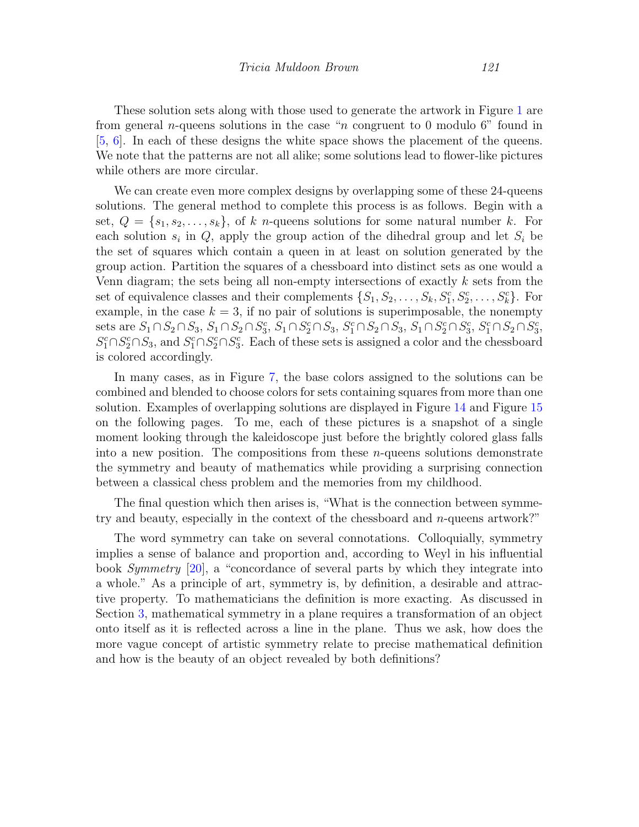These solution sets along with those used to generate the artwork in Figure [1](#page-2-0) are from general *n*-queens solutions in the case "*n* congruent to 0 modulo 6" found in [\[5,](#page-16-2) [6\]](#page-16-3). In each of these designs the white space shows the placement of the queens. We note that the patterns are not all alike; some solutions lead to flower-like pictures while others are more circular.

We can create even more complex designs by overlapping some of these 24-queens solutions. The general method to complete this process is as follows. Begin with a set,  $Q = \{s_1, s_2, \ldots, s_k\}$ , of k n-queens solutions for some natural number k. For each solution  $s_i$  in  $Q$ , apply the group action of the dihedral group and let  $S_i$  be the set of squares which contain a queen in at least on solution generated by the group action. Partition the squares of a chessboard into distinct sets as one would a Venn diagram; the sets being all non-empty intersections of exactly  $k$  sets from the set of equivalence classes and their complements  $\{S_1, S_2, \ldots, S_k, S_1^c, S_2^c, \ldots, S_k^c\}$ . For example, in the case  $k = 3$ , if no pair of solutions is superimposable, the nonempty sets are  $S_1 \cap S_2 \cap S_3$ ,  $S_1 \cap S_2 \cap S_3^c$ ,  $S_1 \cap S_2^c \cap S_3$ ,  $S_1^c \cap S_2 \cap S_3$ ,  $S_1 \cap S_2^c \cap S_3^c$ ,  $S_1^c \cap S_2 \cap S_3^c$ ,  $S_1^c \cap S_2^c \cap S_3$ , and  $S_1^c \cap S_2^c \cap S_3^c$ . Each of these sets is assigned a color and the chessboard is colored accordingly.

In many cases, as in Figure [7,](#page-7-1) the base colors assigned to the solutions can be combined and blended to choose colors for sets containing squares from more than one solution. Examples of overlapping solutions are displayed in Figure [14](#page-13-0) and Figure [15](#page-15-0) on the following pages. To me, each of these pictures is a snapshot of a single moment looking through the kaleidoscope just before the brightly colored glass falls into a new position. The compositions from these  $n$ -queens solutions demonstrate the symmetry and beauty of mathematics while providing a surprising connection between a classical chess problem and the memories from my childhood.

The final question which then arises is, "What is the connection between symmetry and beauty, especially in the context of the chessboard and n-queens artwork?"

The word symmetry can take on several connotations. Colloquially, symmetry implies a sense of balance and proportion and, according to Weyl in his influential book Symmetry [\[20\]](#page-17-7), a "concordance of several parts by which they integrate into a whole." As a principle of art, symmetry is, by definition, a desirable and attractive property. To mathematicians the definition is more exacting. As discussed in Section [3,](#page-5-0) mathematical symmetry in a plane requires a transformation of an object onto itself as it is reflected across a line in the plane. Thus we ask, how does the more vague concept of artistic symmetry relate to precise mathematical definition and how is the beauty of an object revealed by both definitions?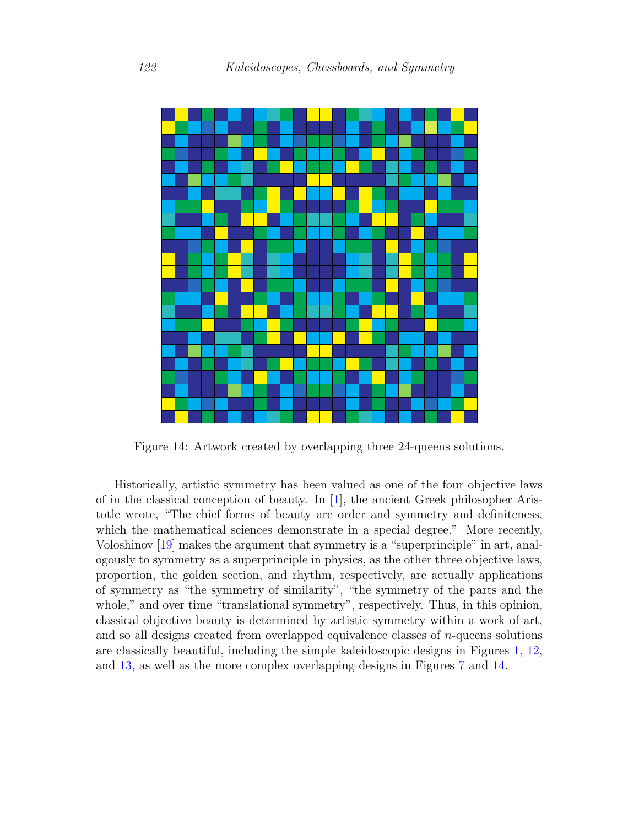<span id="page-13-0"></span>

Figure 14: Artwork created by overlapping three 24-queens solutions.

Historically, artistic symmetry has been valued as one of the four objective laws of in the classical conception of beauty. In [\[1\]](#page-16-4), the ancient Greek philosopher Aristotle wrote, "The chief forms of beauty are order and symmetry and definiteness, which the mathematical sciences demonstrate in a special degree." More recently, Voloshinov [\[19\]](#page-17-8) makes the argument that symmetry is a "superprinciple" in art, analogously to symmetry as a superprinciple in physics, as the other three objective laws, proportion, the golden section, and rhythm, respectively, are actually applications of symmetry as "the symmetry of similarity", "the symmetry of the parts and the whole," and over time "translational symmetry", respectively. Thus, in this opinion, classical objective beauty is determined by artistic symmetry within a work of art, and so all designs created from overlapped equivalence classes of  $n$ -queens solutions are classically beautiful, including the simple kaleidoscopic designs in Figures [1,](#page-2-0) [12,](#page-11-0) and [13,](#page-11-1) as well as the more complex overlapping designs in Figures [7](#page-7-1) and [14.](#page-13-0)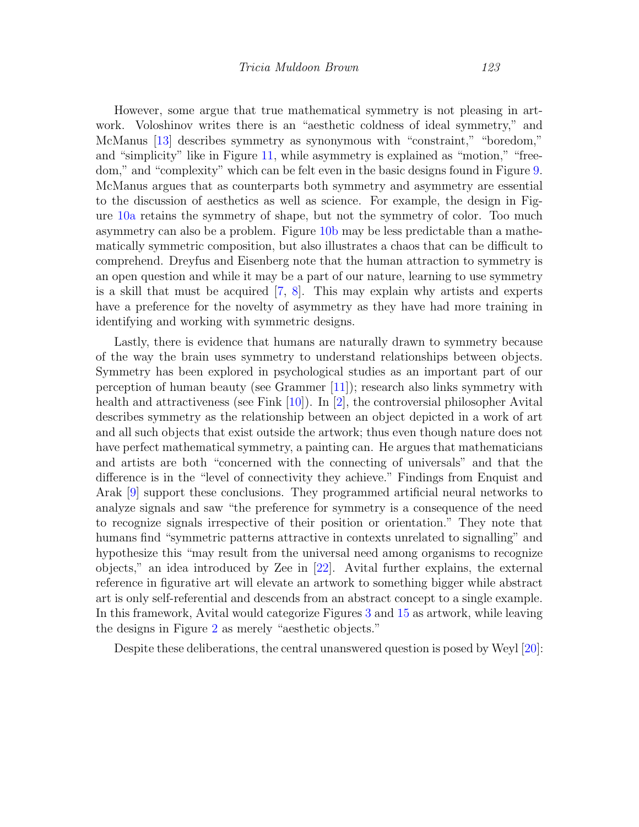However, some argue that true mathematical symmetry is not pleasing in artwork. Voloshinov writes there is an "aesthetic coldness of ideal symmetry," and McManus [\[13\]](#page-17-9) describes symmetry as synonymous with "constraint," "boredom," and "simplicity" like in Figure [11,](#page-10-1) while asymmetry is explained as "motion," "freedom," and "complexity" which can be felt even in the basic designs found in Figure [9.](#page-9-0) McManus argues that as counterparts both symmetry and asymmetry are essential to the discussion of aesthetics as well as science. For example, the design in Figure [10a](#page-9-1) retains the symmetry of shape, but not the symmetry of color. Too much asymmetry can also be a problem. Figure [10b](#page-9-1) may be less predictable than a mathematically symmetric composition, but also illustrates a chaos that can be difficult to comprehend. Dreyfus and Eisenberg note that the human attraction to symmetry is an open question and while it may be a part of our nature, learning to use symmetry is a skill that must be acquired [\[7,](#page-16-5) [8\]](#page-16-6). This may explain why artists and experts have a preference for the novelty of asymmetry as they have had more training in identifying and working with symmetric designs.

Lastly, there is evidence that humans are naturally drawn to symmetry because of the way the brain uses symmetry to understand relationships between objects. Symmetry has been explored in psychological studies as an important part of our perception of human beauty (see Grammer [\[11\]](#page-16-7)); research also links symmetry with health and attractiveness (see Fink [\[10\]](#page-16-8)). In [\[2\]](#page-16-9), the controversial philosopher Avital describes symmetry as the relationship between an object depicted in a work of art and all such objects that exist outside the artwork; thus even though nature does not have perfect mathematical symmetry, a painting can. He argues that mathematicians and artists are both "concerned with the connecting of universals" and that the difference is in the "level of connectivity they achieve." Findings from Enquist and Arak [\[9\]](#page-16-10) support these conclusions. They programmed artificial neural networks to analyze signals and saw "the preference for symmetry is a consequence of the need to recognize signals irrespective of their position or orientation." They note that humans find "symmetric patterns attractive in contexts unrelated to signalling" and hypothesize this "may result from the universal need among organisms to recognize objects," an idea introduced by Zee in [\[22\]](#page-17-10). Avital further explains, the external reference in figurative art will elevate an artwork to something bigger while abstract art is only self-referential and descends from an abstract concept to a single example. In this framework, Avital would categorize Figures [3](#page-3-0) and [15](#page-15-0) as artwork, while leaving the designs in Figure [2](#page-2-1) as merely "aesthetic objects."

Despite these deliberations, the central unanswered question is posed by Weyl [\[20\]](#page-17-7):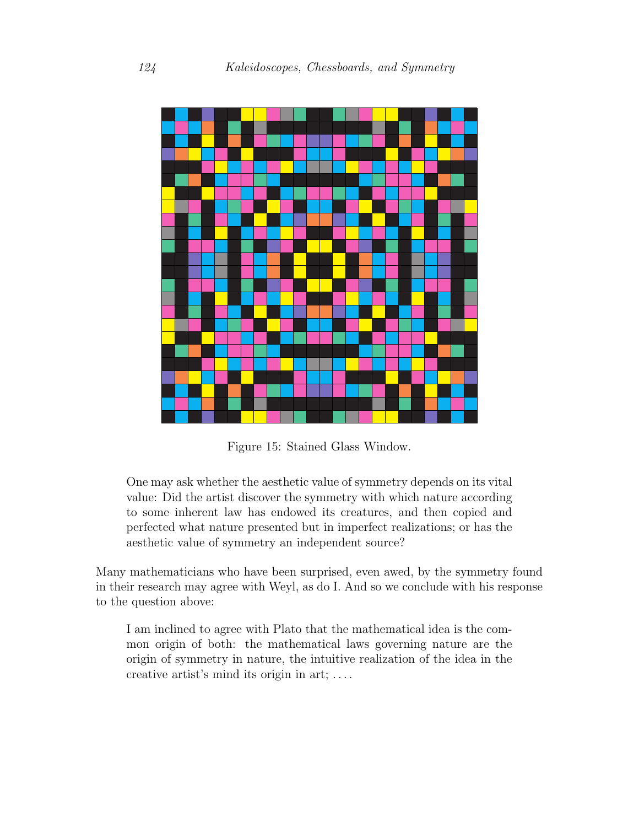<span id="page-15-0"></span>

Figure 15: Stained Glass Window.

One may ask whether the aesthetic value of symmetry depends on its vital value: Did the artist discover the symmetry with which nature according to some inherent law has endowed its creatures, and then copied and perfected what nature presented but in imperfect realizations; or has the aesthetic value of symmetry an independent source?

Many mathematicians who have been surprised, even awed, by the symmetry found in their research may agree with Weyl, as do I. And so we conclude with his response to the question above:

I am inclined to agree with Plato that the mathematical idea is the common origin of both: the mathematical laws governing nature are the origin of symmetry in nature, the intuitive realization of the idea in the creative artist's mind its origin in art; . . . .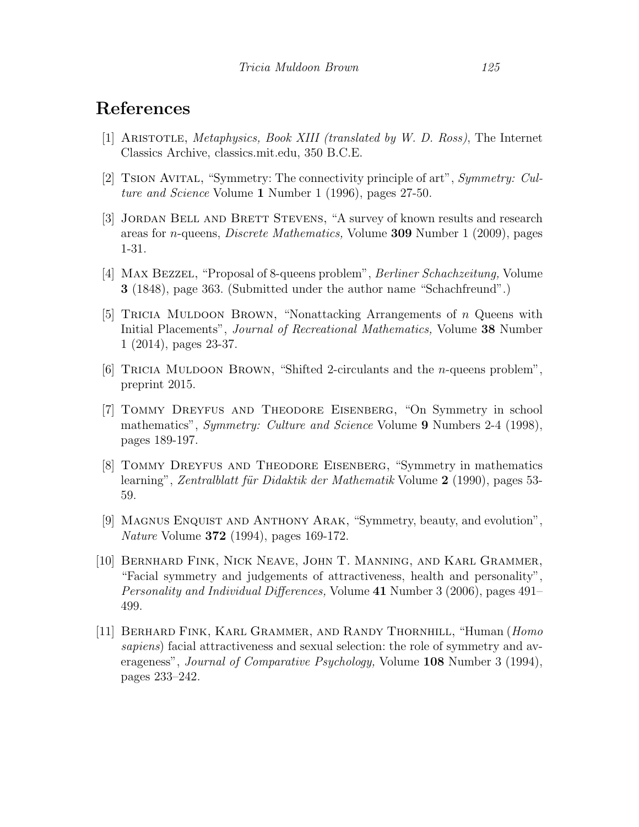#### References

- <span id="page-16-4"></span>[1] Aristotle, Metaphysics, Book XIII (translated by W. D. Ross), The Internet Classics Archive, classics.mit.edu, 350 B.C.E.
- <span id="page-16-9"></span>[2] Tsion Avital, "Symmetry: The connectivity principle of art", Symmetry: Culture and Science Volume 1 Number 1 (1996), pages 27-50.
- <span id="page-16-1"></span>[3] JORDAN BELL AND BRETT STEVENS, "A survey of known results and research areas for n-queens, Discrete Mathematics, Volume 309 Number 1 (2009), pages 1-31.
- <span id="page-16-0"></span>[4] Max Bezzel, "Proposal of 8-queens problem", Berliner Schachzeitung, Volume 3 (1848), page 363. (Submitted under the author name "Schachfreund".)
- <span id="page-16-2"></span>[5] TRICIA MULDOON BROWN, "Nonattacking Arrangements of  $n$  Queens with Initial Placements", Journal of Recreational Mathematics, Volume 38 Number 1 (2014), pages 23-37.
- <span id="page-16-3"></span>[6] Tricia Muldoon Brown, "Shifted 2-circulants and the n-queens problem", preprint 2015.
- <span id="page-16-5"></span>[7] Tommy Dreyfus and Theodore Eisenberg, "On Symmetry in school mathematics", *Symmetry: Culture and Science* Volume 9 Numbers 2-4 (1998), pages 189-197.
- <span id="page-16-6"></span>[8] Tommy Dreyfus and Theodore Eisenberg, "Symmetry in mathematics learning", Zentralblatt für Didaktik der Mathematik Volume  $2$  (1990), pages 53-59.
- <span id="page-16-10"></span>[9] Magnus Enquist and Anthony Arak, "Symmetry, beauty, and evolution", Nature Volume 372 (1994), pages 169-172.
- <span id="page-16-8"></span>[10] Bernhard Fink, Nick Neave, John T. Manning, and Karl Grammer, "Facial symmetry and judgements of attractiveness, health and personality", Personality and Individual Differences, Volume 41 Number 3 (2006), pages 491– 499.
- <span id="page-16-7"></span>[11] Berhard Fink, Karl Grammer, and Randy Thornhill, "Human (Homo sapiens) facial attractiveness and sexual selection: the role of symmetry and averageness", *Journal of Comparative Psychology*, Volume 108 Number 3 (1994), pages 233–242.